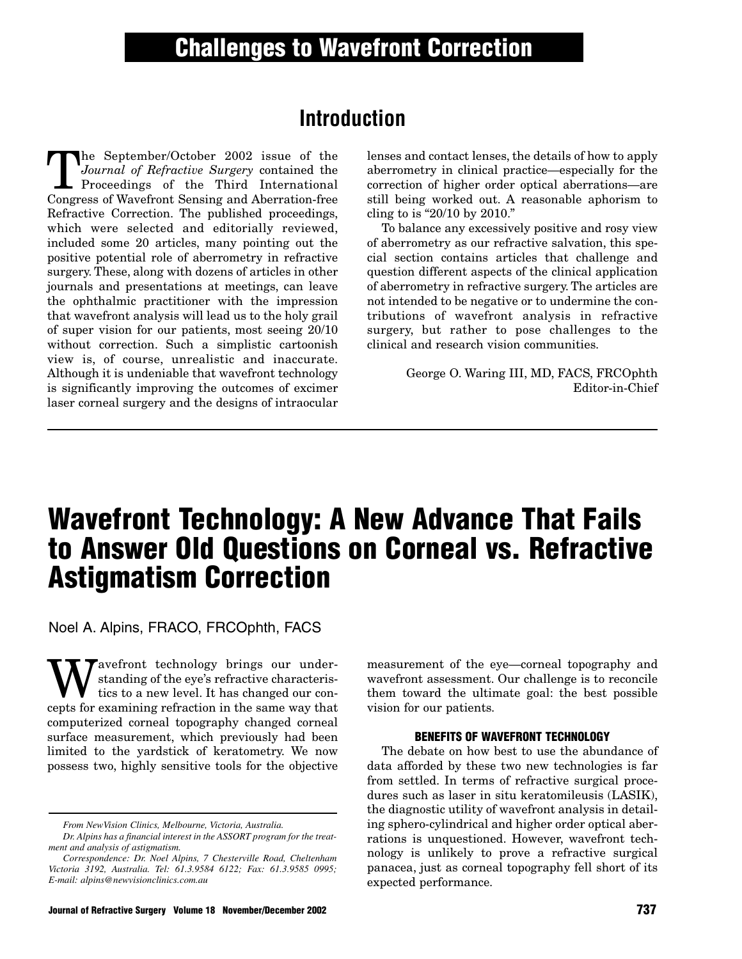# **Introduction**

The September/October 2002 issue of the<br>
Journal of Refractive Surgery contained the<br>
Proceedings of the Third International<br>
Congress of Wayefront Sepsing and Aberration-free *Journal of Refractive Surgery* contained the Proceedings of the Third International Congress of Wavefront Sensing and Aberration-free Refractive Correction. The published proceedings, which were selected and editorially reviewed, included some 20 articles, many pointing out the positive potential role of aberrometry in refractive surgery. These, along with dozens of articles in other journals and presentations at meetings, can leave the ophthalmic practitioner with the impression that wavefront analysis will lead us to the holy grail of super vision for our patients, most seeing 20/10 without correction. Such a simplistic cartoonish view is, of course, unrealistic and inaccurate. Although it is undeniable that wavefront technology is significantly improving the outcomes of excimer laser corneal surgery and the designs of intraocular

lenses and contact lenses, the details of how to apply aberrometry in clinical practice—especially for the correction of higher order optical aberrations—are still being worked out. A reasonable aphorism to cling to is "20/10 by 2010."

To balance any excessively positive and rosy view of aberrometry as our refractive salvation, this special section contains articles that challenge and question different aspects of the clinical application of aberrometry in refractive surgery. The articles are not intended to be negative or to undermine the contributions of wavefront analysis in refractive surgery, but rather to pose challenges to the clinical and research vision communities.

> George O. Waring III, MD, FACS, FRCOphth Editor-in-Chief

# **Wavefront Technology: A New Advance That Fails to Answer Old Questions on Corneal vs. Refractive Astigmatism Correction**

Noel A. Alpins, FRACO, FRCOphth, FACS

We avefront technology brings our under-<br>tics to a new level. It has changed our con-<br>conts for examining refraction in the same way that standing of the eye's refractive characteristics to a new level. It has changed our concepts for examining refraction in the same way that computerized corneal topography changed corneal surface measurement, which previously had been limited to the yardstick of keratometry. We now possess two, highly sensitive tools for the objective

measurement of the eye—corneal topography and wavefront assessment. Our challenge is to reconcile them toward the ultimate goal: the best possible vision for our patients.

#### **BENEFITS OF WAVEFRONT TECHNOLOGY**

The debate on how best to use the abundance of data afforded by these two new technologies is far from settled. In terms of refractive surgical procedures such as laser in situ keratomileusis (LASIK), the diagnostic utility of wavefront analysis in detailing sphero-cylindrical and higher order optical aberrations is unquestioned. However, wavefront technology is unlikely to prove a refractive surgical panacea, just as corneal topography fell short of its expected performance.

*From NewVision Clinics, Melbourne, Victoria, Australia.*

*Dr. Alpins has a financial interest in the ASSORT program for the treatment and analysis of astigmatism.*

*Correspondence: Dr. Noel Alpins, 7 Chesterville Road, Cheltenham Victoria 3192, Australia. Tel: 61.3.9584 6122; Fax: 61.3.9585 0995; E-mail: alpins@newvisionclinics.com.au*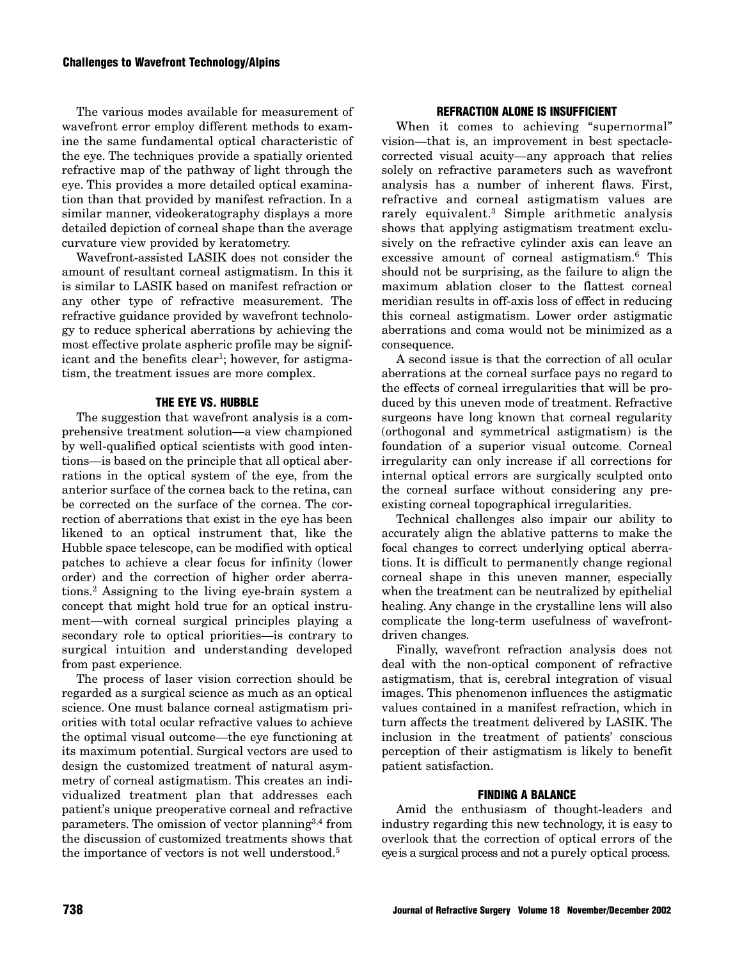The various modes available for measurement of wavefront error employ different methods to examine the same fundamental optical characteristic of the eye. The techniques provide a spatially oriented refractive map of the pathway of light through the eye. This provides a more detailed optical examination than that provided by manifest refraction. In a similar manner, videokeratography displays a more detailed depiction of corneal shape than the average curvature view provided by keratometry.

Wavefront-assisted LASIK does not consider the amount of resultant corneal astigmatism. In this it is similar to LASIK based on manifest refraction or any other type of refractive measurement. The refractive guidance provided by wavefront technology to reduce spherical aberrations by achieving the most effective prolate aspheric profile may be significant and the benefits clear<sup>1</sup>; however, for astigmatism, the treatment issues are more complex.

## **THE EYE VS. HUBBLE**

The suggestion that wavefront analysis is a comprehensive treatment solution—a view championed by well-qualified optical scientists with good intentions—is based on the principle that all optical aberrations in the optical system of the eye, from the anterior surface of the cornea back to the retina, can be corrected on the surface of the cornea. The correction of aberrations that exist in the eye has been likened to an optical instrument that, like the Hubble space telescope, can be modified with optical patches to achieve a clear focus for infinity (lower order) and the correction of higher order aberrations.2 Assigning to the living eye-brain system a concept that might hold true for an optical instrument—with corneal surgical principles playing a secondary role to optical priorities—is contrary to surgical intuition and understanding developed from past experience.

The process of laser vision correction should be regarded as a surgical science as much as an optical science. One must balance corneal astigmatism priorities with total ocular refractive values to achieve the optimal visual outcome—the eye functioning at its maximum potential. Surgical vectors are used to design the customized treatment of natural asymmetry of corneal astigmatism. This creates an individualized treatment plan that addresses each patient's unique preoperative corneal and refractive parameters. The omission of vector planning  $3,4$  from the discussion of customized treatments shows that the importance of vectors is not well understood.5

#### **REFRACTION ALONE IS INSUFFICIENT**

When it comes to achieving "supernormal" vision—that is, an improvement in best spectaclecorrected visual acuity—any approach that relies solely on refractive parameters such as wavefront analysis has a number of inherent flaws. First, refractive and corneal astigmatism values are rarely equivalent.3 Simple arithmetic analysis shows that applying astigmatism treatment exclusively on the refractive cylinder axis can leave an excessive amount of corneal astigmatism.6 This should not be surprising, as the failure to align the maximum ablation closer to the flattest corneal meridian results in off-axis loss of effect in reducing this corneal astigmatism. Lower order astigmatic aberrations and coma would not be minimized as a consequence.

A second issue is that the correction of all ocular aberrations at the corneal surface pays no regard to the effects of corneal irregularities that will be produced by this uneven mode of treatment. Refractive surgeons have long known that corneal regularity (orthogonal and symmetrical astigmatism) is the foundation of a superior visual outcome. Corneal irregularity can only increase if all corrections for internal optical errors are surgically sculpted onto the corneal surface without considering any preexisting corneal topographical irregularities.

Technical challenges also impair our ability to accurately align the ablative patterns to make the focal changes to correct underlying optical aberrations. It is difficult to permanently change regional corneal shape in this uneven manner, especially when the treatment can be neutralized by epithelial healing. Any change in the crystalline lens will also complicate the long-term usefulness of wavefrontdriven changes.

Finally, wavefront refraction analysis does not deal with the non-optical component of refractive astigmatism, that is, cerebral integration of visual images. This phenomenon influences the astigmatic values contained in a manifest refraction, which in turn affects the treatment delivered by LASIK. The inclusion in the treatment of patients' conscious perception of their astigmatism is likely to benefit patient satisfaction.

## **FINDING A BALANCE**

Amid the enthusiasm of thought-leaders and industry regarding this new technology, it is easy to overlook that the correction of optical errors of the eye is a surgical process and not a purely optical process.